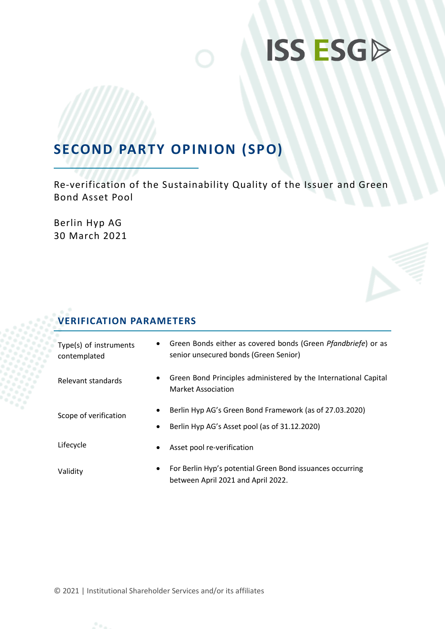# **ISS ESGD**

## **SECOND PARTY OPINION (SPO)**

Re-verification of the Sustainability Quality of the Issuer and Green Bond Asset Pool

Berlin Hyp AG 30 March 2021

## **VERIFICATION PARAMETERS**

| Type(s) of instruments<br>contemplated | $\bullet$      | Green Bonds either as covered bonds (Green Pfandbriefe) or as<br>senior unsecured bonds (Green Senior)   |
|----------------------------------------|----------------|----------------------------------------------------------------------------------------------------------|
| Relevant standards                     | $\bullet$      | Green Bond Principles administered by the International Capital<br>Market Association                    |
| Scope of verification                  | ٠<br>$\bullet$ | Berlin Hyp AG's Green Bond Framework (as of 27.03.2020)<br>Berlin Hyp AG's Asset pool (as of 31.12.2020) |
| Lifecycle                              | ٠              | Asset pool re-verification                                                                               |
| Validity                               | $\bullet$      | For Berlin Hyp's potential Green Bond issuances occurring<br>between April 2021 and April 2022.          |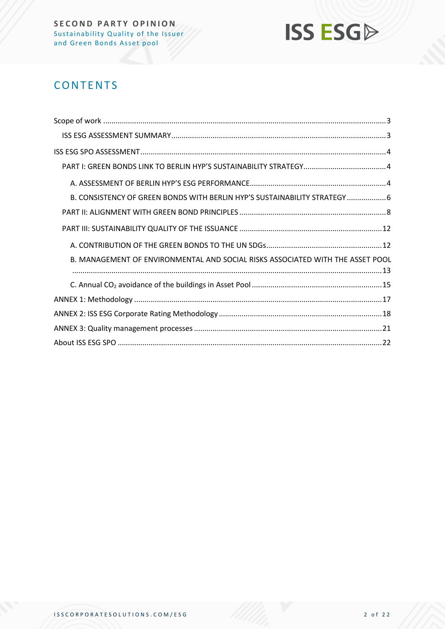

## **CONTENTS**

| B. CONSISTENCY OF GREEN BONDS WITH BERLIN HYP'S SUSTAINABILITY STRATEGY 6      |  |
|--------------------------------------------------------------------------------|--|
|                                                                                |  |
|                                                                                |  |
|                                                                                |  |
| B. MANAGEMENT OF ENVIRONMENTAL AND SOCIAL RISKS ASSOCIATED WITH THE ASSET POOL |  |
|                                                                                |  |
|                                                                                |  |
|                                                                                |  |
|                                                                                |  |
|                                                                                |  |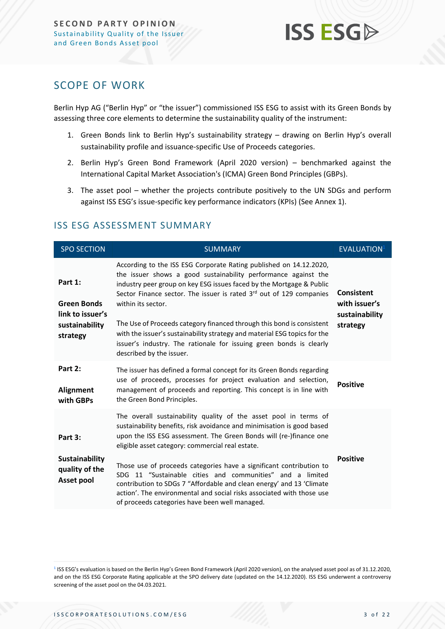

## <span id="page-2-0"></span>SCOPE OF WORK

Berlin Hyp AG ("Berlin Hyp" or "the issuer") commissioned ISS ESG to assist with its Green Bonds by assessing three core elements to determine the sustainability quality of the instrument:

- 1. Green Bonds link to Berlin Hyp's sustainability strategy drawing on Berlin Hyp's overall sustainability profile and issuance-specific Use of Proceeds categories.
- 2. Berlin Hyp's Green Bond Framework (April 2020 version) benchmarked against the International Capital Market Association's (ICMA) Green Bond Principles (GBPs).
- 3. The asset pool whether the projects contribute positively to the UN SDGs and perform against ISS ESG's issue-specific key performance indicators (KPIs) (See Annex 1).

| <b>SPO SECTION</b>                                                              | <b>SUMMARY</b>                                                                                                                                                                                                                                                                                                                                                                                                                                                                                                                                                     | <b>EVALUATION</b> <sup>1</sup>                                   |
|---------------------------------------------------------------------------------|--------------------------------------------------------------------------------------------------------------------------------------------------------------------------------------------------------------------------------------------------------------------------------------------------------------------------------------------------------------------------------------------------------------------------------------------------------------------------------------------------------------------------------------------------------------------|------------------------------------------------------------------|
| Part 1:<br><b>Green Bonds</b><br>link to issuer's<br>sustainability<br>strategy | According to the ISS ESG Corporate Rating published on 14.12.2020,<br>the issuer shows a good sustainability performance against the<br>industry peer group on key ESG issues faced by the Mortgage & Public<br>Sector Finance sector. The issuer is rated 3rd out of 129 companies<br>within its sector.<br>The Use of Proceeds category financed through this bond is consistent<br>with the issuer's sustainability strategy and material ESG topics for the<br>issuer's industry. The rationale for issuing green bonds is clearly<br>described by the issuer. | <b>Consistent</b><br>with issuer's<br>sustainability<br>strategy |
| Part 2:<br>Alignment<br>with GBPs                                               | The issuer has defined a formal concept for its Green Bonds regarding<br>use of proceeds, processes for project evaluation and selection,<br>management of proceeds and reporting. This concept is in line with<br>the Green Bond Principles.                                                                                                                                                                                                                                                                                                                      | <b>Positive</b>                                                  |
| Part 3:<br>Sustainability                                                       | The overall sustainability quality of the asset pool in terms of<br>sustainability benefits, risk avoidance and minimisation is good based<br>upon the ISS ESG assessment. The Green Bonds will (re-)finance one<br>eligible asset category: commercial real estate.<br>Those use of proceeds categories have a significant contribution to                                                                                                                                                                                                                        | <b>Positive</b>                                                  |
| quality of the<br>Asset pool                                                    | SDG 11 "Sustainable cities and communities" and a limited<br>contribution to SDGs 7 "Affordable and clean energy' and 13 'Climate<br>action'. The environmental and social risks associated with those use<br>of proceeds categories have been well managed.                                                                                                                                                                                                                                                                                                       |                                                                  |

#### <span id="page-2-1"></span>ISS ESG ASSESSMENT SUMMARY

<sup>&</sup>lt;sup>1</sup> ISS ESG's evaluation is based on the Berlin Hyp's Green Bond Framework (April 2020 version), on the analysed asset pool as of 31.12.2020, and on the ISS ESG Corporate Rating applicable at the SPO delivery date (updated on the 14.12.2020). ISS ESG underwent a controversy screening of the asset pool on the 04.03.2021.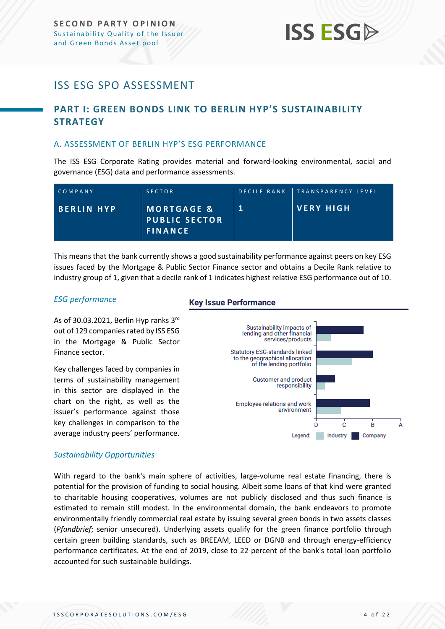## **ISS ESG**

## <span id="page-3-0"></span>ISS ESG SPO ASSESSMENT

## <span id="page-3-1"></span>**PART I: GREEN BONDS LINK TO BERLIN HYP'S SUSTAINABILITY STRATEGY**

#### <span id="page-3-2"></span>A. ASSESSMENT OF BERLIN HYP'S ESG PERFORMANCE

The ISS ESG Corporate Rating provides material and forward-looking environmental, social and governance (ESG) data and performance assessments.

| COMPANY           | SECTOR                                                          | DECILE RANK TRANSPARENCY LEVEL |
|-------------------|-----------------------------------------------------------------|--------------------------------|
| <b>BERLIN HYP</b> | <b>MORTGAGE &amp;</b><br><b>PUBLIC SECTOR</b><br><b>FINANCE</b> | ∣VERY HIGH                     |

This means that the bank currently shows a good sustainability performance against peers on key ESG issues faced by the Mortgage & Public Sector Finance sector and obtains a Decile Rank relative to industry group of 1, given that a decile rank of 1 indicates highest relative ESG performance out of 10.

#### *ESG performance*

As of 30.03.2021, Berlin Hyp ranks 3<sup>rd</sup> out of 129 companies rated by ISS ESG in the Mortgage & Public Sector Finance sector.

Key challenges faced by companies in terms of sustainability management in this sector are displayed in the chart on the right, as well as the issuer's performance against those key challenges in comparison to the average industry peers' performance.

#### **Key Issue Performance**



#### *Sustainability Opportunities*

With regard to the bank's main sphere of activities, large-volume real estate financing, there is potential for the provision of funding to social housing. Albeit some loans of that kind were granted to charitable housing cooperatives, volumes are not publicly disclosed and thus such finance is estimated to remain still modest. In the environmental domain, the bank endeavors to promote environmentally friendly commercial real estate by issuing several green bonds in two assets classes (*Pfandbrief*; senior unsecured). Underlying assets qualify for the green finance portfolio through certain green building standards, such as BREEAM, LEED or DGNB and through energy-efficiency performance certificates. At the end of 2019, close to 22 percent of the bank's total loan portfolio accounted for such sustainable buildings.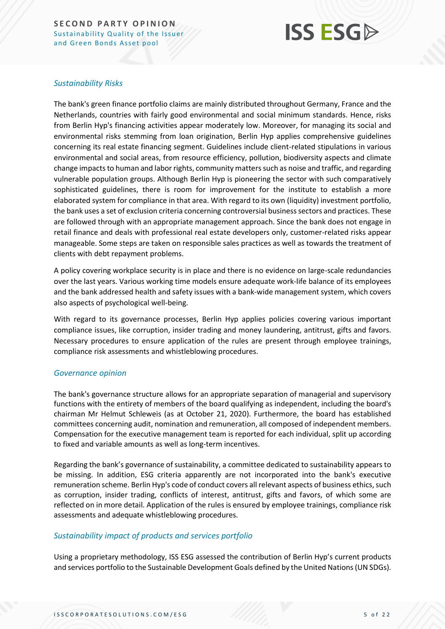## **ISS ESGA**

#### *Sustainability Risks*

The bank's green finance portfolio claims are mainly distributed throughout Germany, France and the Netherlands, countries with fairly good environmental and social minimum standards. Hence, risks from Berlin Hyp's financing activities appear moderately low. Moreover, for managing its social and environmental risks stemming from loan origination, Berlin Hyp applies comprehensive guidelines concerning its real estate financing segment. Guidelines include client-related stipulations in various environmental and social areas, from resource efficiency, pollution, biodiversity aspects and climate change impacts to human and labor rights, community matters such as noise and traffic, and regarding vulnerable population groups. Although Berlin Hyp is pioneering the sector with such comparatively sophisticated guidelines, there is room for improvement for the institute to establish a more elaborated system for compliance in that area. With regard to its own (liquidity) investment portfolio, the bank uses a set of exclusion criteria concerning controversial business sectors and practices. These are followed through with an appropriate management approach. Since the bank does not engage in retail finance and deals with professional real estate developers only, customer-related risks appear manageable. Some steps are taken on responsible sales practices as well as towards the treatment of clients with debt repayment problems.

A policy covering workplace security is in place and there is no evidence on large-scale redundancies over the last years. Various working time models ensure adequate work-life balance of its employees and the bank addressed health and safety issues with a bank-wide management system, which covers also aspects of psychological well-being.

With regard to its governance processes, Berlin Hyp applies policies covering various important compliance issues, like corruption, insider trading and money laundering, antitrust, gifts and favors. Necessary procedures to ensure application of the rules are present through employee trainings, compliance risk assessments and whistleblowing procedures.

#### *Governance opinion*

The bank's governance structure allows for an appropriate separation of managerial and supervisory functions with the entirety of members of the board qualifying as independent, including the board's chairman Mr Helmut Schleweis (as at October 21, 2020). Furthermore, the board has established committees concerning audit, nomination and remuneration, all composed of independent members. Compensation for the executive management team is reported for each individual, split up according to fixed and variable amounts as well as long-term incentives.

Regarding the bank's governance of sustainability, a committee dedicated to sustainability appears to be missing. In addition, ESG criteria apparently are not incorporated into the bank's executive remuneration scheme. Berlin Hyp's code of conduct covers all relevant aspects of business ethics, such as corruption, insider trading, conflicts of interest, antitrust, gifts and favors, of which some are reflected on in more detail. Application of the rules is ensured by employee trainings, compliance risk assessments and adequate whistleblowing procedures.

#### *Sustainability impact of products and services portfolio*

Using a proprietary methodology, ISS ESG assessed the contribution of Berlin Hyp's current products and services portfolio to the Sustainable Development Goals defined by the United Nations (UN SDGs).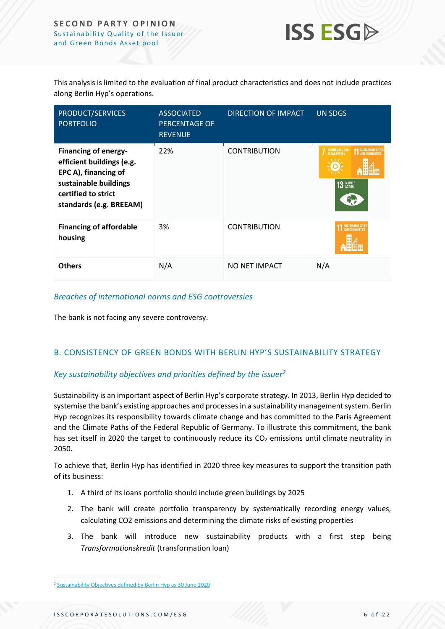

This analysis is limited to the evaluation of final product characteristics and does not include practices along Berlin Hyp's operations.

| PRODUCT/SERVICES<br><b>PORTFOLIO</b>                                                                                                                        | <b>ASSOCIATED</b><br><b>PERCENTAGE OF</b><br><b>REVENUE</b> | DIRECTION OF IMPACT | <b>UN SDGS</b>                               |
|-------------------------------------------------------------------------------------------------------------------------------------------------------------|-------------------------------------------------------------|---------------------|----------------------------------------------|
| <b>Financing of energy-</b><br>efficient buildings (e.g.<br>EPC A), financing of<br>sustainable buildings<br>certified to strict<br>standards (e.g. BREEAM) | 22%                                                         | <b>CONTRIBUTION</b> | AFFORDABLE AND<br>CLEAN ENERGY<br>13 GLIMATE |
| <b>Financing of affordable</b><br>housing                                                                                                                   | 3%                                                          | <b>CONTRIBUTION</b> |                                              |
| <b>Others</b>                                                                                                                                               | N/A                                                         | NO NET IMPACT       | N/A                                          |

#### *Breaches of international norms and ESG controversies*

The bank is not facing any severe controversy.

#### <span id="page-5-0"></span>B. CONSISTENCY OF GREEN BONDS WITH BERLIN HYP'S SUSTAINABILITY STRATEGY

#### *Key sustainability objectives and priorities defined by the issuer<sup>2</sup>*

Sustainability is an important aspect of Berlin Hyp's corporate strategy. In 2013, Berlin Hyp decided to systemise the bank's existing approaches and processes in a sustainability management system. Berlin Hyp recognizes its responsibility towards climate change and has committed to the Paris Agreement and the Climate Paths of the Federal Republic of Germany. To illustrate this commitment, the bank has set itself in 2020 the target to continuously reduce its  $CO<sub>2</sub>$  emissions until climate neutrality in 2050.

To achieve that, Berlin Hyp has identified in 2020 three key measures to support the transition path of its business:

- 1. A third of its loans portfolio should include green buildings by 2025
- 2. The bank will create portfolio transparency by systematically recording energy values, calculating CO2 emissions and determining the climate risks of existing properties
- 3. The bank will introduce new sustainability products with a first step being *Transformationskredit* (transformation loan)

<sup>&</sup>lt;sup>2</sup> [Sustainability Objectives defined by Berlin Hyp as 30 June 2020](https://www.berlinhyp.de/en/media/newsroom/financial-reports/interim-financial-report-2020/sustainability?file=files/media/corporate/newsroom/finanzberichte/en/2020/halbjahresbericht-2020/bhyp-in-gb2020-pdf-4-nachhaltigkeit-eng.pdf)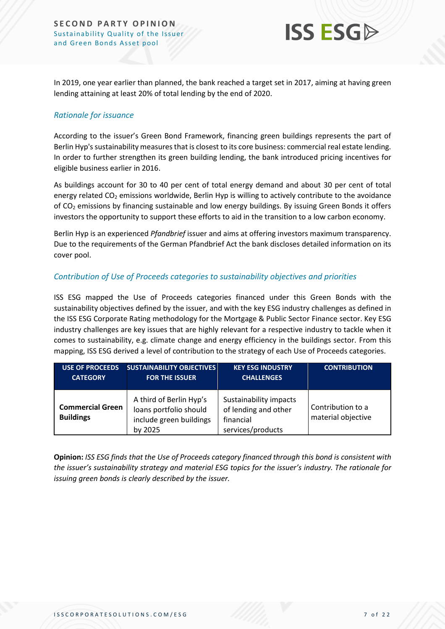

In 2019, one year earlier than planned, the bank reached a target set in 2017, aiming at having green lending attaining at least 20% of total lending by the end of 2020.

#### *Rationale for issuance*

According to the issuer's Green Bond Framework, financing green buildings represents the part of Berlin Hyp's sustainability measures that is closest to its core business: commercial real estate lending. In order to further strengthen its green building lending, the bank introduced pricing incentives for eligible business earlier in 2016.

As buildings account for 30 to 40 per cent of total energy demand and about 30 per cent of total energy related CO<sub>2</sub> emissions worldwide, Berlin Hyp is willing to actively contribute to the avoidance of CO<sup>2</sup> emissions by financing sustainable and low energy buildings. By issuing Green Bonds it offers investors the opportunity to support these efforts to aid in the transition to a low carbon economy.

Berlin Hyp is an experienced *Pfandbrief* issuer and aims at offering investors maximum transparency. Due to the requirements of the German Pfandbrief Act the bank discloses detailed information on its cover pool.

#### *Contribution of Use of Proceeds categories to sustainability objectives and priorities*

ISS ESG mapped the Use of Proceeds categories financed under this Green Bonds with the sustainability objectives defined by the issuer, and with the key ESG industry challenges as defined in the ISS ESG Corporate Rating methodology for the Mortgage & Public Sector Finance sector. Key ESG industry challenges are key issues that are highly relevant for a respective industry to tackle when it comes to sustainability, e.g. climate change and energy efficiency in the buildings sector. From this mapping, ISS ESG derived a level of contribution to the strategy of each Use of Proceeds categories.

| <b>USE OF PROCEEDS</b>                      | <b>SUSTAINABILITY OBJECTIVES</b>                                                        | <b>KEY ESG INDUSTRY</b>                                                          | <b>CONTRIBUTION</b>                     |
|---------------------------------------------|-----------------------------------------------------------------------------------------|----------------------------------------------------------------------------------|-----------------------------------------|
| <b>CATEGORY</b>                             | <b>FOR THE ISSUER</b>                                                                   | <b>CHALLENGES</b>                                                                |                                         |
| <b>Commercial Green</b><br><b>Buildings</b> | A third of Berlin Hyp's<br>loans portfolio should<br>include green buildings<br>by 2025 | Sustainability impacts<br>of lending and other<br>financial<br>services/products | Contribution to a<br>material objective |

**Opinion:** *ISS ESG finds that the Use of Proceeds category financed through this bond is consistent with the issuer's sustainability strategy and material ESG topics for the issuer's industry. The rationale for issuing green bonds is clearly described by the issuer.*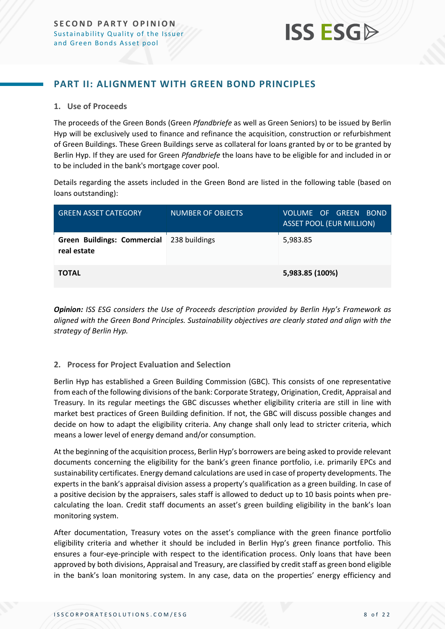

#### <span id="page-7-0"></span>**PART II: ALIGNMENT WITH GREEN BOND PRINCIPLES**

#### **1. Use of Proceeds**

The proceeds of the Green Bonds (Green *Pfandbriefe* as well as Green Seniors) to be issued by Berlin Hyp will be exclusively used to finance and refinance the acquisition, construction or refurbishment of Green Buildings. These Green Buildings serve as collateral for loans granted by or to be granted by Berlin Hyp. If they are used for Green *Pfandbriefe* the loans have to be eligible for and included in or to be included in the bank's mortgage cover pool.

Details regarding the assets included in the Green Bond are listed in the following table (based on loans outstanding):

| <b>GREEN ASSET CATEGORY</b>                              | <b>NUMBER OF OBJECTS</b> | VOLUME OF GREEN BOND<br><b>ASSET POOL (EUR MILLION)</b> |
|----------------------------------------------------------|--------------------------|---------------------------------------------------------|
| Green Buildings: Commercial 238 buildings<br>real estate |                          | 5,983.85                                                |
| <b>TOTAL</b>                                             |                          | 5,983.85 (100%)                                         |

*Opinion: ISS ESG considers the Use of Proceeds description provided by Berlin Hyp's Framework as aligned with the Green Bond Principles. Sustainability objectives are clearly stated and align with the strategy of Berlin Hyp.*

#### **2. Process for Project Evaluation and Selection**

Berlin Hyp has established a Green Building Commission (GBC). This consists of one representative from each of the following divisions of the bank: Corporate Strategy, Origination, Credit, Appraisal and Treasury. In its regular meetings the GBC discusses whether eligibility criteria are still in line with market best practices of Green Building definition. If not, the GBC will discuss possible changes and decide on how to adapt the eligibility criteria. Any change shall only lead to stricter criteria, which means a lower level of energy demand and/or consumption.

At the beginning of the acquisition process, Berlin Hyp's borrowers are being asked to provide relevant documents concerning the eligibility for the bank's green finance portfolio, i.e. primarily EPCs and sustainability certificates. Energy demand calculations are used in case of property developments. The experts in the bank's appraisal division assess a property's qualification as a green building. In case of a positive decision by the appraisers, sales staff is allowed to deduct up to 10 basis points when precalculating the loan. Credit staff documents an asset's green building eligibility in the bank's loan monitoring system.

After documentation, Treasury votes on the asset's compliance with the green finance portfolio eligibility criteria and whether it should be included in Berlin Hyp's green finance portfolio. This ensures a four-eye-principle with respect to the identification process. Only loans that have been approved by both divisions, Appraisal and Treasury, are classified by credit staff as green bond eligible in the bank's loan monitoring system. In any case, data on the properties' energy efficiency and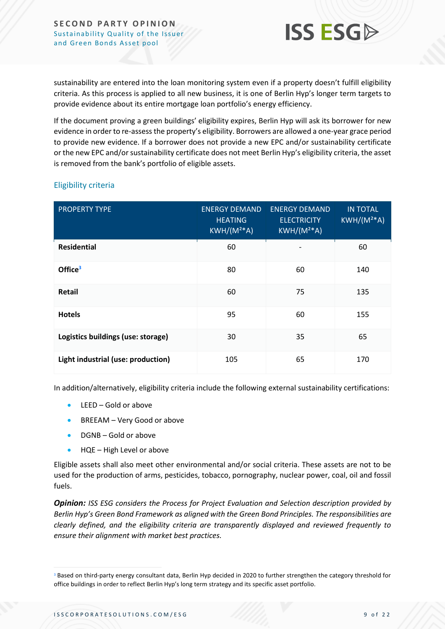

sustainability are entered into the loan monitoring system even if a property doesn't fulfill eligibility criteria. As this process is applied to all new business, it is one of Berlin Hyp's longer term targets to provide evidence about its entire mortgage loan portfolio's energy efficiency.

If the document proving a green buildings' eligibility expires, Berlin Hyp will ask its borrower for new evidence in order to re-assess the property's eligibility. Borrowers are allowed a one-year grace period to provide new evidence. If a borrower does not provide a new EPC and/or sustainability certificate or the new EPC and/or sustainability certificate does not meet Berlin Hyp's eligibility criteria, the asset is removed from the bank's portfolio of eligible assets.

| <b>PROPERTY TYPE</b>               | <b>ENERGY DEMAND</b><br><b>HEATING</b><br>$KWH/(M2*A)$ | <b>ENERGY DEMAND</b><br><b>ELECTRICITY</b><br>$KWH/(M2*A)$ | <b>IN TOTAL</b><br>$KWH/(M^{2*}A)$ |
|------------------------------------|--------------------------------------------------------|------------------------------------------------------------|------------------------------------|
| <b>Residential</b>                 | 60                                                     |                                                            | 60                                 |
| Office <sup>3</sup>                | 80                                                     | 60                                                         | 140                                |
| <b>Retail</b>                      | 60                                                     | 75                                                         | 135                                |
| <b>Hotels</b>                      | 95                                                     | 60                                                         | 155                                |
| Logistics buildings (use: storage) | 30                                                     | 35                                                         | 65                                 |
| Light industrial (use: production) | 105                                                    | 65                                                         | 170                                |

#### Eligibility criteria

In addition/alternatively, eligibility criteria include the following external sustainability certifications:

- LEED Gold or above
- BREEAM Very Good or above
- DGNB Gold or above
- HQE High Level or above

Eligible assets shall also meet other environmental and/or social criteria. These assets are not to be used for the production of arms, pesticides, tobacco, pornography, nuclear power, coal, oil and fossil fuels.

*Opinion: ISS ESG considers the Process for Project Evaluation and Selection description provided by Berlin Hyp's Green Bond Framework as aligned with the Green Bond Principles. The responsibilities are clearly defined, and the eligibility criteria are transparently displayed and reviewed frequently to ensure their alignment with market best practices.*

<sup>&</sup>lt;sup>3</sup> Based on third-party energy consultant data, Berlin Hyp decided in 2020 to further strengthen the category threshold for office buildings in order to reflect Berlin Hyp's long term strategy and its specific asset portfolio.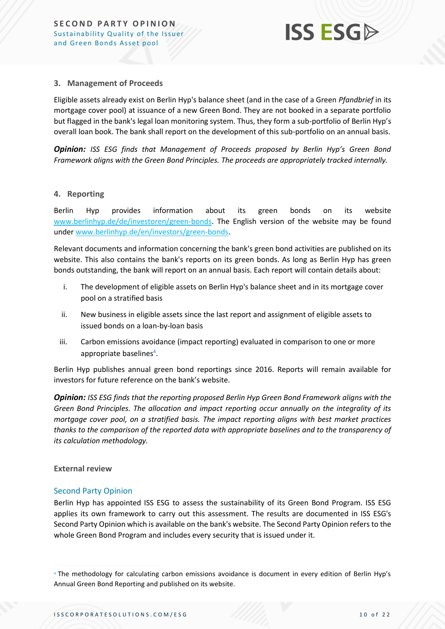

#### **3. Management of Proceeds**

Eligible assets already exist on Berlin Hyp's balance sheet (and in the case of a Green *Pfandbrief* in its mortgage cover pool) at issuance of a new Green Bond. They are not booked in a separate portfolio but flagged in the bank's legal loan monitoring system. Thus, they form a sub-portfolio of Berlin Hyp's overall loan book. The bank shall report on the development of this sub-portfolio on an annual basis.

*Opinion: ISS ESG finds that Management of Proceeds proposed by Berlin Hyp's Green Bond Framework aligns with the Green Bond Principles. The proceeds are appropriately tracked internally.* 

#### **4. Reporting**

Berlin Hyp provides information about its green bonds on its website [www.berlinhyp.de/de/investoren/green-bonds.](http://www.berlinhyp.de/de/investoren/green-bonds) The English version of the website may be found under [www.berlinhyp.de/en/investors/green-bonds.](http://www.berlinhyp.de/en/investors/green-bonds)

Relevant documents and information concerning the bank's green bond activities are published on its website. This also contains the bank's reports on its green bonds. As long as Berlin Hyp has green bonds outstanding, the bank will report on an annual basis. Each report will contain details about:

- i. The development of eligible assets on Berlin Hyp's balance sheet and in its mortgage cover pool on a stratified basis
- ii. New business in eligible assets since the last report and assignment of eligible assets to issued bonds on a loan-by-loan basis
- iii. Carbon emissions avoidance (impact reporting) evaluated in comparison to one or more appropriate baselines<sup>4</sup>.

Berlin Hyp publishes annual green bond reportings since 2016. Reports will remain available for investors for future reference on the bank's website.

*Opinion: ISS ESG finds that the reporting proposed Berlin Hyp Green Bond Framework aligns with the Green Bond Principles. The allocation and impact reporting occur annually on the integrality of its mortgage cover pool, on a stratified basis. The impact reporting aligns with best market practices thanks to the comparison of the reported data with appropriate baselines and to the transparency of its calculation methodology.*

#### **External review**

#### Second Party Opinion

Berlin Hyp has appointed ISS ESG to assess the sustainability of its Green Bond Program. ISS ESG applies its own framework to carry out this assessment. The results are documented in ISS ESG's Second Party Opinion which is available on the bank's website. The Second Party Opinion refers to the whole Green Bond Program and includes every security that is issued under it.

<sup>4</sup> The methodology for calculating carbon emissions avoidance is document in every edition of Berlin Hyp's Annual Green Bond Reporting and published on its website.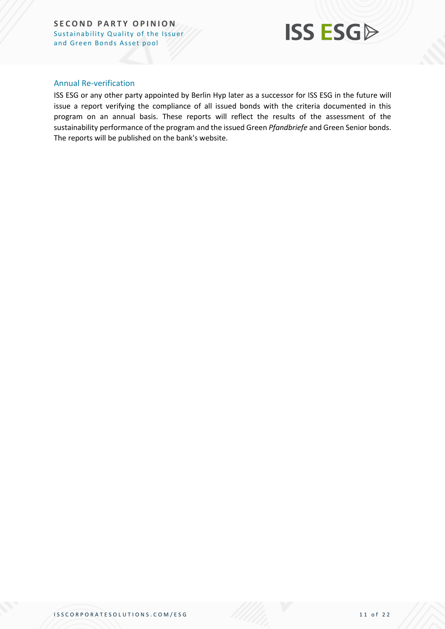

#### Annual Re-verification

ISS ESG or any other party appointed by Berlin Hyp later as a successor for ISS ESG in the future will issue a report verifying the compliance of all issued bonds with the criteria documented in this program on an annual basis. These reports will reflect the results of the assessment of the sustainability performance of the program and the issued Green *Pfandbriefe* and Green Senior bonds. The reports will be published on the bank's website.

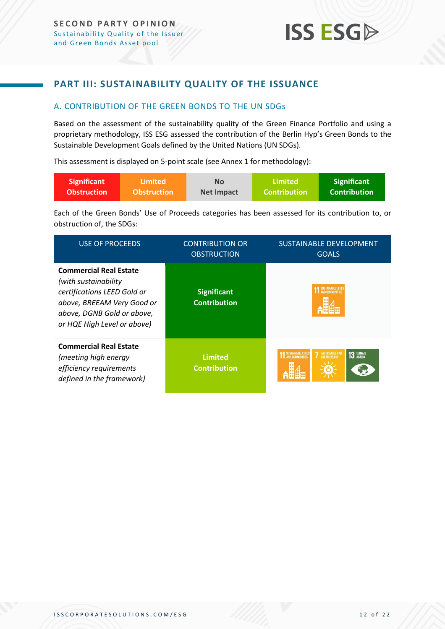### <span id="page-11-0"></span>**PART III: SUSTAINABILITY QUALITY OF THE ISSUANCE**

#### <span id="page-11-1"></span>A. CONTRIBUTION OF THE GREEN BONDS TO THE UN SDGs

Based on the assessment of the sustainability quality of the Green Finance Portfolio and using a proprietary methodology, ISS ESG assessed the contribution of the Berlin Hyp's Green Bonds to the Sustainable Development Goals defined by the United Nations (UN SDGs).

This assessment is displayed on 5-point scale (see Annex 1 for methodology):

| Significant        | \Limited <b>\</b>  | <b>No</b>         | Limited             | <b>Significant</b>  |
|--------------------|--------------------|-------------------|---------------------|---------------------|
| <b>Obstruction</b> | <b>Obstruction</b> | <b>Net Impact</b> | <b>Contribution</b> | <b>Contribution</b> |

Each of the Green Bonds' Use of Proceeds categories has been assessed for its contribution to, or obstruction of, the SDGs:

| <b>USE OF PROCEEDS</b>                                                                                                                                                          | <b>CONTRIBUTION OR</b><br><b>OBSTRUCTION</b> | SUSTAINABLE DEVELOPMENT<br><b>GOALS</b>                     |
|---------------------------------------------------------------------------------------------------------------------------------------------------------------------------------|----------------------------------------------|-------------------------------------------------------------|
| <b>Commercial Real Estate</b><br>(with sustainability<br>certifications LEED Gold or<br>above, BREEAM Very Good or<br>above, DGNB Gold or above,<br>or HQE High Level or above) | <b>Significant</b><br><b>Contribution</b>    | SUSTAINABLE CITIE                                           |
| <b>Commercial Real Estate</b><br>(meeting high energy<br>efficiency requirements<br>defined in the framework)                                                                   | <b>Limited</b><br><b>Contribution</b>        | SUSTAINABLE CITIES<br><b>7</b> AFFORDABLE AND<br>13 CLIMATE |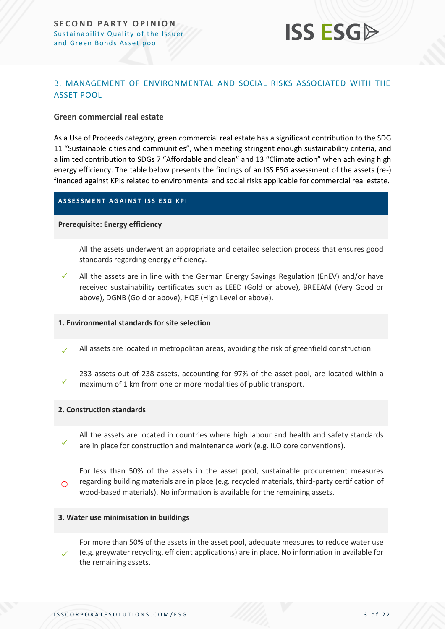

#### <span id="page-12-0"></span>B. MANAGEMENT OF ENVIRONMENTAL AND SOCIAL RISKS ASSOCIATED WITH THE ASSET POOL

#### **Green commercial real estate**

As a Use of Proceeds category, green commercial real estate has a significant contribution to the SDG 11 "Sustainable cities and communities", when meeting stringent enough sustainability criteria, and a limited contribution to SDGs 7 "Affordable and clean" and 13 "Climate action" when achieving high energy efficiency. The table below presents the findings of an ISS ESG assessment of the assets (re-) financed against KPIs related to environmental and social risks applicable for commercial real estate.

#### **A S S E S S M E N T A G A I N S T I S S E S G K P I**

#### **Prerequisite: Energy efficiency**

All the assets underwent an appropriate and detailed selection process that ensures good standards regarding energy efficiency.

✓ All the assets are in line with the German Energy Savings Regulation (EnEV) and/or have received sustainability certificates such as LEED (Gold or above), BREEAM (Very Good or above), DGNB (Gold or above), HQE (High Level or above).

#### **1. Environmental standards for site selection**

✓ All assets are located in metropolitan areas, avoiding the risk of greenfield construction.

233 assets out of 238 assets, accounting for 97% of the asset pool, are located within a maximum of 1 km from one or more modalities of public transport.

#### **2. Construction standards**

✓

✓

All the assets are located in countries where high labour and health and safety standards are in place for construction and maintenance work (e.g. ILO core conventions).

 $\bigcap$ For less than 50% of the assets in the asset pool, sustainable procurement measures regarding building materials are in place (e.g. recycled materials, third-party certification of wood-based materials). No information is available for the remaining assets.

#### **3. Water use minimisation in buildings**

✓ For more than 50% of the assets in the asset pool, adequate measures to reduce water use (e.g. greywater recycling, efficient applications) are in place. No information in available for the remaining assets.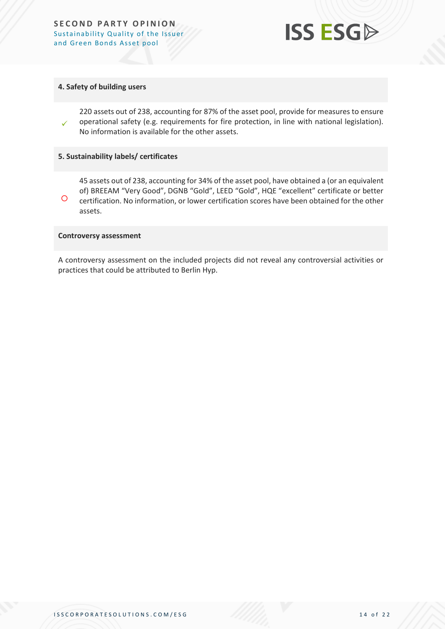

#### **4. Safety of building users**

✓ 220 assets out of 238, accounting for 87% of the asset pool, provide for measures to ensure operational safety (e.g. requirements for fire protection, in line with national legislation). No information is available for the other assets.

#### **5. Sustainability labels/ certificates**

 $\circ$ 45 assets out of 238, accounting for 34% of the asset pool, have obtained a (or an equivalent of) BREEAM "Very Good", DGNB "Gold", LEED "Gold", HQE "excellent" certificate or better certification. No information, or lower certification scores have been obtained for the other assets.

#### **Controversy assessment**

A controversy assessment on the included projects did not reveal any controversial activities or practices that could be attributed to Berlin Hyp.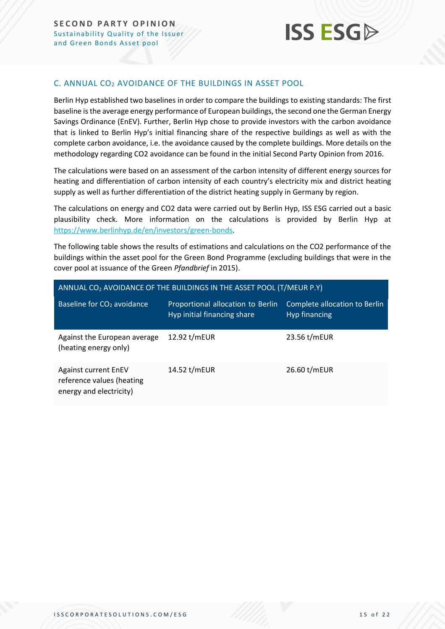

#### <span id="page-14-0"></span>C. ANNUAL CO<sup>2</sup> AVOIDANCE OF THE BUILDINGS IN ASSET POOL

Berlin Hyp established two baselines in order to compare the buildings to existing standards: The first baseline is the average energy performance of European buildings, the second one the German Energy Savings Ordinance (EnEV). Further, Berlin Hyp chose to provide investors with the carbon avoidance that is linked to Berlin Hyp's initial financing share of the respective buildings as well as with the complete carbon avoidance, i.e. the avoidance caused by the complete buildings. More details on the methodology regarding CO2 avoidance can be found in the initial Second Party Opinion from 2016.

The calculations were based on an assessment of the carbon intensity of different energy sources for heating and differentiation of carbon intensity of each country's electricity mix and district heating supply as well as further differentiation of the district heating supply in Germany by region.

The calculations on energy and CO2 data were carried out by Berlin Hyp, ISS ESG carried out a basic plausibility check. More information on the calculations is provided by Berlin Hyp at [https://www.berlinhyp.de/en/investors/green-bonds.](https://protect-eu.mimecast.com/s/c_X-CnxJZuGAKjqcJ_7ZM?domain=berlinhyp.de)

The following table shows the results of estimations and calculations on the CO2 performance of the buildings within the asset pool for the Green Bond Programme (excluding buildings that were in the cover pool at issuance of the Green *Pfandbrief* in 2015).

| ANNUAL $CO2$ AVOIDANCE OF THE BUILDINGS IN THE ASSET POOL (T/MEUR P.Y)              |                                                                  |                                                |  |  |
|-------------------------------------------------------------------------------------|------------------------------------------------------------------|------------------------------------------------|--|--|
| Baseline for CO <sub>2</sub> avoidance                                              | Proportional allocation to Berlin<br>Hyp initial financing share | Complete allocation to Berlin<br>Hyp financing |  |  |
| Against the European average<br>(heating energy only)                               | 12.92 t/mEUR                                                     | 23.56 t/mEUR                                   |  |  |
| <b>Against current EnEV</b><br>reference values (heating<br>energy and electricity) | 14.52 t/mEUR                                                     | 26.60 t/mEUR                                   |  |  |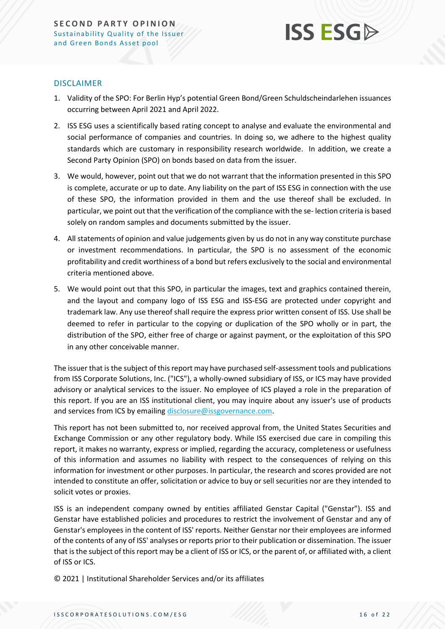

#### DISCLAIMER

- 1. Validity of the SPO: For Berlin Hyp's potential Green Bond/Green Schuldscheindarlehen issuances occurring between April 2021 and April 2022.
- 2. ISS ESG uses a scientifically based rating concept to analyse and evaluate the environmental and social performance of companies and countries. In doing so, we adhere to the highest quality standards which are customary in responsibility research worldwide. In addition, we create a Second Party Opinion (SPO) on bonds based on data from the issuer.
- 3. We would, however, point out that we do not warrant that the information presented in this SPO is complete, accurate or up to date. Any liability on the part of ISS ESG in connection with the use of these SPO, the information provided in them and the use thereof shall be excluded. In particular, we point out that the verification of the compliance with the se- lection criteria is based solely on random samples and documents submitted by the issuer.
- 4. All statements of opinion and value judgements given by us do not in any way constitute purchase or investment recommendations. In particular, the SPO is no assessment of the economic profitability and credit worthiness of a bond but refers exclusively to the social and environmental criteria mentioned above.
- 5. We would point out that this SPO, in particular the images, text and graphics contained therein, and the layout and company logo of ISS ESG and ISS-ESG are protected under copyright and trademark law. Any use thereof shall require the express prior written consent of ISS. Use shall be deemed to refer in particular to the copying or duplication of the SPO wholly or in part, the distribution of the SPO, either free of charge or against payment, or the exploitation of this SPO in any other conceivable manner.

The issuer that is the subject of this report may have purchased self-assessment tools and publications from ISS Corporate Solutions, Inc. ("ICS"), a wholly-owned subsidiary of ISS, or ICS may have provided advisory or analytical services to the issuer. No employee of ICS played a role in the preparation of this report. If you are an ISS institutional client, you may inquire about any issuer's use of products and services from ICS by emailin[g disclosure@issgovernance.com.](mailto:disclosure@issgovernance.com)

This report has not been submitted to, nor received approval from, the United States Securities and Exchange Commission or any other regulatory body. While ISS exercised due care in compiling this report, it makes no warranty, express or implied, regarding the accuracy, completeness or usefulness of this information and assumes no liability with respect to the consequences of relying on this information for investment or other purposes. In particular, the research and scores provided are not intended to constitute an offer, solicitation or advice to buy or sell securities nor are they intended to solicit votes or proxies.

ISS is an independent company owned by entities affiliated Genstar Capital ("Genstar"). ISS and Genstar have established policies and procedures to restrict the involvement of Genstar and any of Genstar's employees in the content of ISS' reports. Neither Genstar nor their employees are informed of the contents of any of ISS' analyses or reports prior to their publication or dissemination. The issuer that is the subject of this report may be a client of ISS or ICS, or the parent of, or affiliated with, a client of ISS or ICS.

© 2021 | Institutional Shareholder Services and/or its affiliates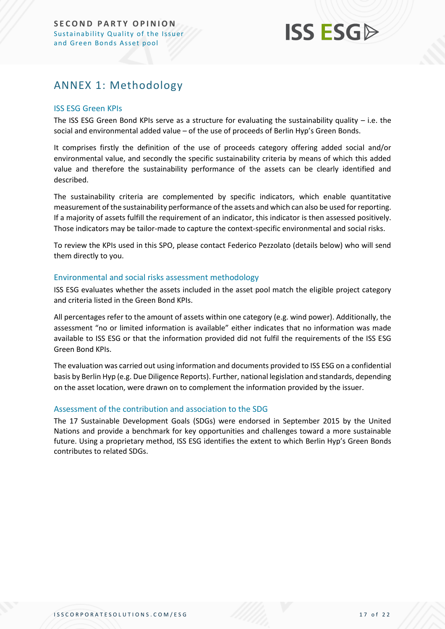## **ISS ESG**

## <span id="page-16-0"></span>ANNEX 1: Methodology

#### ISS ESG Green KPIs

The ISS ESG Green Bond KPIs serve as a structure for evaluating the sustainability quality  $-$  i.e. the social and environmental added value – of the use of proceeds of Berlin Hyp's Green Bonds.

It comprises firstly the definition of the use of proceeds category offering added social and/or environmental value, and secondly the specific sustainability criteria by means of which this added value and therefore the sustainability performance of the assets can be clearly identified and described.

The sustainability criteria are complemented by specific indicators, which enable quantitative measurement of the sustainability performance of the assets and which can also be used for reporting. If a majority of assets fulfill the requirement of an indicator, this indicator is then assessed positively. Those indicators may be tailor-made to capture the context-specific environmental and social risks.

To review the KPIs used in this SPO, please contact Federico Pezzolato (details below) who will send them directly to you.

#### Environmental and social risks assessment methodology

ISS ESG evaluates whether the assets included in the asset pool match the eligible project category and criteria listed in the Green Bond KPIs.

All percentages refer to the amount of assets within one category (e.g. wind power). Additionally, the assessment "no or limited information is available" either indicates that no information was made available to ISS ESG or that the information provided did not fulfil the requirements of the ISS ESG Green Bond KPIs.

The evaluation was carried out using information and documents provided to ISS ESG on a confidential basis by Berlin Hyp (e.g. Due Diligence Reports). Further, national legislation and standards, depending on the asset location, were drawn on to complement the information provided by the issuer.

#### Assessment of the contribution and association to the SDG

The 17 Sustainable Development Goals (SDGs) were endorsed in September 2015 by the United Nations and provide a benchmark for key opportunities and challenges toward a more sustainable future. Using a proprietary method, ISS ESG identifies the extent to which Berlin Hyp's Green Bonds contributes to related SDGs.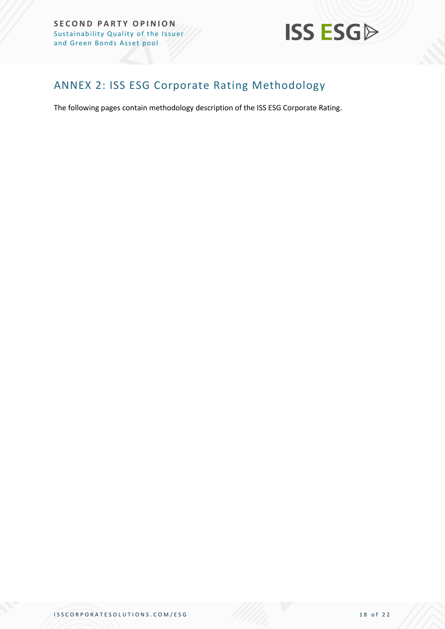

## <span id="page-17-0"></span>ANNEX 2: ISS ESG Corporate Rating Methodology

The following pages contain methodology description of the ISS ESG Corporate Rating.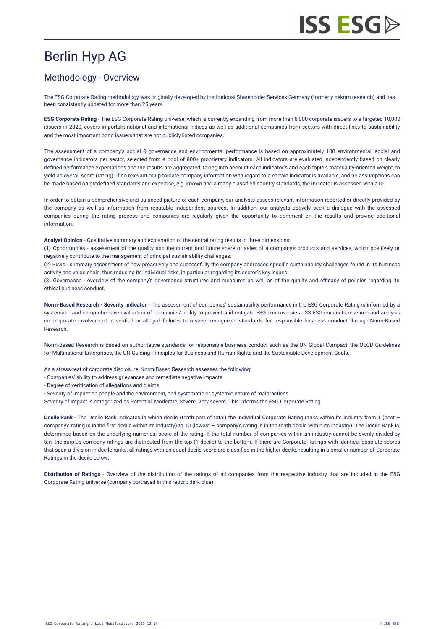## Berlin Hyp AG

## Methodology - Overview

The ESG Corporate Rating methodology was originally developed by Institutional Shareholder Services Germany (formerly oekom research) and has been consistently updated for more than 25 years.

**ESG Corporate Rating** - The ESG Corporate Rating universe, which is currently expanding from more than 8,000 corporate issuers to a targeted 10,000 issuers in 2020, covers important national and international indices as well as additional companies from sectors with direct links to sustainability and the most important bond issuers that are not publicly listed companies.

The assessment of a company's social & governance and environmental performance is based on approximately 100 environmental, social and governance indicators per sector, selected from a pool of 800+ proprietary indicators. All indicators are evaluated independently based on clearly defined performance expectations and the results are aggregated, taking into account each indicator's and each topic's materiality-oriented weight, to yield an overall score (rating). If no relevant or up-to-date company information with regard to a certain indicator is available, and no assumptions can be made based on predefined standards and expertise, e.g. known and already classified country standards, the indicator is assessed with a D-.

In order to obtain a comprehensive and balanced picture of each company, our analysts assess relevant information reported or directly provided by the company as well as information from reputable independent sources. In addition, our analysts actively seek a dialogue with the assessed companies during the rating process and companies are regularly given the opportunity to comment on the results and provide additional information.

**Analyst Opinion** - Qualitative summary and explanation of the central rating results in three dimensions:

(1) Opportunities - assessment of the quality and the current and future share of sales of a company's products and services, which positively or negatively contribute to the management of principal sustainability challenges.

(2) Risks - summary assessment of how proactively and successfully the company addresses specific sustainability challenges found in its business activity and value chain, thus reducing its individual risks, in particular regarding its sector's key issues.

(3) Governance - overview of the company's governance structures and measures as well as of the quality and efficacy of policies regarding its ethical business conduct.

**Norm-Based Research - Severity Indicator** - The assessment of companies' sustainability performance in the ESG Corporate Rating is informed by a systematic and comprehensive evaluation of companies' ability to prevent and mitigate ESG controversies. ISS ESG conducts research and analysis on corporate involvement in verified or alleged failures to respect recognized standards for responsible business conduct through [Norm-Based](https://www.issgovernance.com/esg/screening/esg-screening-solutions/#nbr_techdoc_download) Research.

Norm-Based Research is based on authoritative standards for responsible business conduct such as the UN Global Compact, the OECD Guidelines for Multinational Enterprises, the UN Guiding Principles for Business and Human Rights and the Sustainable Development Goals.

As a stress-test of corporate disclosure, Norm-Based Research assesses the following:

- Companies' ability to address grievances and remediate negative impacts
- Degree of verification of allegations and claims
- Severity of impact on people and the environment, and systematic or systemic nature of malpractices
- Severity of impact is categorized as Potential, Moderate, Severe, Very severe. This informs the ESG Corporate Rating.

**Decile Rank** - The Decile Rank indicates in which decile (tenth part of total) the individual Corporate Rating ranks within its industry from 1 (best – company's rating is in the first decile within its industry) to 10 (lowest – company's rating is in the tenth decile within its industry). The Decile Rank is determined based on the underlying numerical score of the rating. If the total number of companies within an industry cannot be evenly divided by ten, the surplus company ratings are distributed from the top (1 decile) to the bottom. If there are Corporate Ratings with identical absolute scores that span a division in decile ranks, all ratings with an equal decile score are classified in the higher decile, resulting in a smaller number of Corporate Ratings in the decile below.

**Distribution of Ratings** - Overview of the distribution of the ratings of all companies from the respective industry that are included in the ESG Corporate Rating universe (company portrayed in this report: dark blue).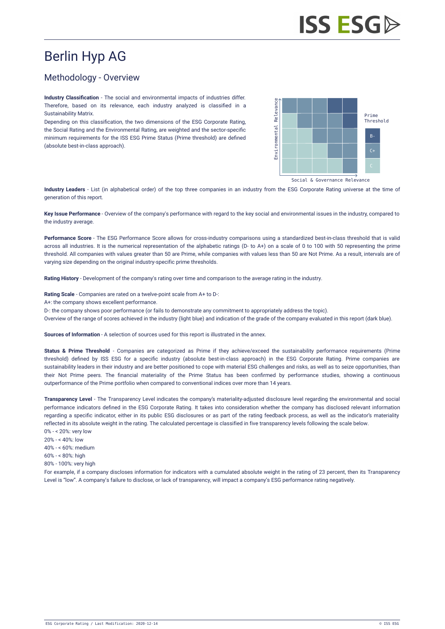## Berlin Hyp AG

## Methodology - Overview

**Industry Classification** - The social and environmental impacts of industries differ. Therefore, based on its relevance, each industry analyzed is classified in a Sustainability Matrix.

Depending on this classification, the two dimensions of the ESG Corporate Rating, the Social Rating and the Environmental Rating, are weighted and the sector-specific minimum requirements for the ISS ESG Prime Status (Prime threshold) are defined (absolute best-in-class approach).



Social & Governance Relevance

**Industry Leaders** - List (in alphabetical order) of the top three companies in an industry from the ESG Corporate Rating universe at the time of generation of this report.

**Key Issue Performance** - Overview of the company's performance with regard to the key social and environmental issues in the industry, compared to the industry average.

**Performance Score** - The ESG Performance Score allows for cross-industry comparisons using a standardized best-in-class threshold that is valid across all industries. It is the numerical representation of the alphabetic ratings (D- to A+) on a scale of 0 to 100 with 50 representing the prime threshold. All companies with values greater than 50 are Prime, while companies with values less than 50 are Not Prime. As a result, intervals are of varying size depending on the original industry-specific prime thresholds.

**Rating History** - Development of the company's rating over time and comparison to the average rating in the industry.

**Rating Scale** - Companies are rated on a twelve-point scale from A+ to D-:

A+: the company shows excellent performance.

D-: the company shows poor performance (or fails to demonstrate any commitment to appropriately address the topic).

Overview of the range of scores achieved in the industry (light blue) and indication of the grade of the company evaluated in this report (dark blue).

**Sources of Information** - A selection of sources used for this report is illustrated in the annex.

**Status & Prime Threshold** - Companies are categorized as Prime if they achieve/exceed the sustainability performance requirements (Prime threshold) defined by ISS ESG for a specific industry (absolute best-in-class approach) in the ESG Corporate Rating. Prime companies are sustainability leaders in their industry and are better positioned to cope with material ESG challenges and risks, as well as to seize opportunities, than their Not Prime peers. The financial materiality of the Prime Status has been confirmed by performance studies, showing a continuous outperformance of the Prime portfolio when compared to conventional indices over more than 14 years.

**Transparency Level** - The Transparency Level indicates the company's materiality-adjusted disclosure level regarding the environmental and social performance indicators defined in the ESG Corporate Rating. It takes into consideration whether the company has disclosed relevant information regarding a specific indicator, either in its public ESG disclosures or as part of the rating feedback process, as well as the indicator's materiality reflected in its absolute weight in the rating. The calculated percentage is classified in five transparency levels following the scale below. 0% - < 20%: very low

- 20% < 40%: low
- 40% < 60%: medium
- $60% 69%$ : high
- 80% 100%: very high

For example, if a company discloses information for indicators with a cumulated absolute weight in the rating of 23 percent, then its Transparency Level is "low". A company's failure to disclose, or lack of transparency, will impact a company's ESG performance rating negatively.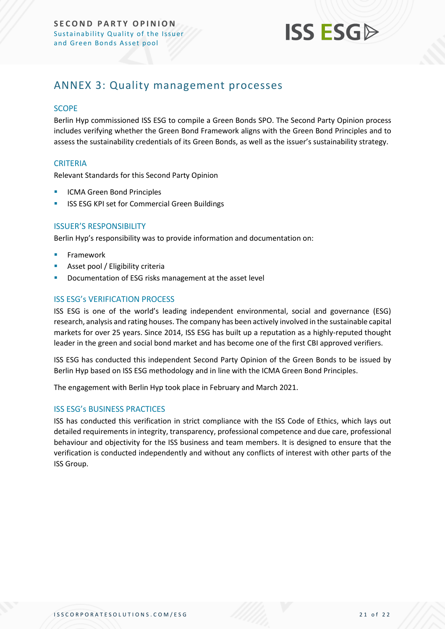

## <span id="page-20-0"></span>ANNEX 3: Quality management processes

#### **SCOPE**

Berlin Hyp commissioned ISS ESG to compile a Green Bonds SPO. The Second Party Opinion process includes verifying whether the Green Bond Framework aligns with the Green Bond Principles and to assess the sustainability credentials of its Green Bonds, as well as the issuer's sustainability strategy.

#### **CRITERIA**

Relevant Standards for this Second Party Opinion

- **ICMA Green Bond Principles**
- **ISS ESG KPI set for Commercial Green Buildings**

#### ISSUER'S RESPONSIBILITY

Berlin Hyp's responsibility was to provide information and documentation on:

- **Framework**
- Asset pool / Eligibility criteria
- Documentation of ESG risks management at the asset level

#### ISS ESG's VERIFICATION PROCESS

ISS ESG is one of the world's leading independent environmental, social and governance (ESG) research, analysis and rating houses. The company has been actively involved in the sustainable capital markets for over 25 years. Since 2014, ISS ESG has built up a reputation as a highly-reputed thought leader in the green and social bond market and has become one of the first CBI approved verifiers.

ISS ESG has conducted this independent Second Party Opinion of the Green Bonds to be issued by Berlin Hyp based on ISS ESG methodology and in line with the ICMA Green Bond Principles.

The engagement with Berlin Hyp took place in February and March 2021.

#### ISS ESG's BUSINESS PRACTICES

ISS has conducted this verification in strict compliance with the ISS Code of Ethics, which lays out detailed requirements in integrity, transparency, professional competence and due care, professional behaviour and objectivity for the ISS business and team members. It is designed to ensure that the verification is conducted independently and without any conflicts of interest with other parts of the ISS Group.